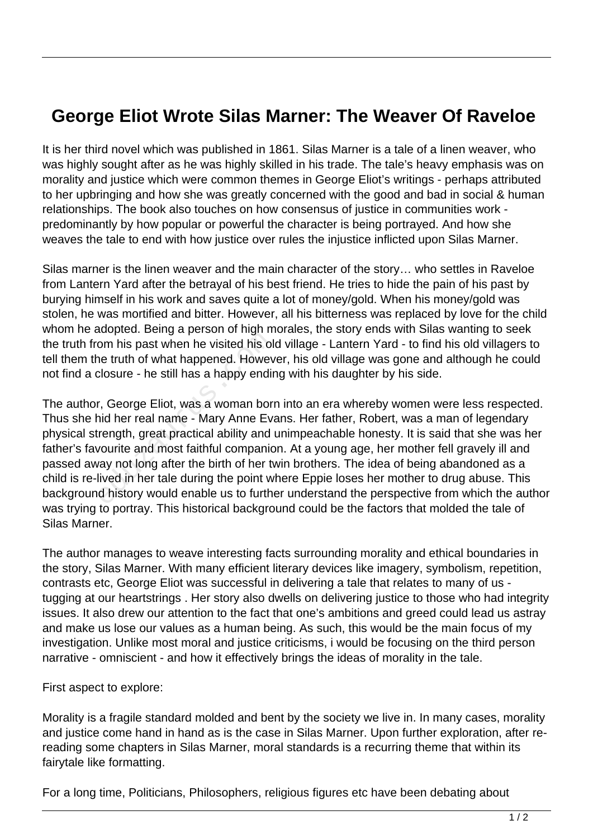## **George Eliot Wrote Silas Marner: The Weaver Of Raveloe**

It is her third novel which was published in 1861. Silas Marner is a tale of a linen weaver, who was highly sought after as he was highly skilled in his trade. The tale's heavy emphasis was on morality and justice which were common themes in George Eliot's writings - perhaps attributed to her upbringing and how she was greatly concerned with the good and bad in social & human relationships. The book also touches on how consensus of justice in communities work predominantly by how popular or powerful the character is being portrayed. And how she weaves the tale to end with how justice over rules the injustice inflicted upon Silas Marner.

Silas marner is the linen weaver and the main character of the story… who settles in Raveloe from Lantern Yard after the betrayal of his best friend. He tries to hide the pain of his past by burying himself in his work and saves quite a lot of money/gold. When his money/gold was stolen, he was mortified and bitter. However, all his bitterness was replaced by love for the child whom he adopted. Being a person of high morales, the story ends with Silas wanting to seek the truth from his past when he visited his old village - Lantern Yard - to find his old villagers to tell them the truth of what happened. However, his old village was gone and although he could not find a closure - he still has a happy ending with his daughter by his side.

The author, George Eliot, was a woman born into an era whereby women were less respected. Thus she hid her real name - Mary Anne Evans. Her father, Robert, was a man of legendary physical strength, great practical ability and unimpeachable honesty. It is said that she was her father's favourite and most faithful companion. At a young age, her mother fell gravely ill and passed away not long after the birth of her twin brothers. The idea of being abandoned as a child is re-lived in her tale during the point where Eppie loses her mother to drug abuse. This background history would enable us to further understand the perspective from which the author was trying to portray. This historical background could be the factors that molded the tale of Silas Marner. om his past when he visited his of<br>the truth of what happened. Howev<br>closure - he still has a happy endir<br>r, George Eliot, was a woman born<br>id her real name - Mary Anne Eva<br>rength, great practical ability and<br>vourite and m

The author manages to weave interesting facts surrounding morality and ethical boundaries in the story, Silas Marner. With many efficient literary devices like imagery, symbolism, repetition, contrasts etc, George Eliot was successful in delivering a tale that relates to many of us tugging at our heartstrings . Her story also dwells on delivering justice to those who had integrity issues. It also drew our attention to the fact that one's ambitions and greed could lead us astray and make us lose our values as a human being. As such, this would be the main focus of my investigation. Unlike most moral and justice criticisms, i would be focusing on the third person narrative - omniscient - and how it effectively brings the ideas of morality in the tale.

First aspect to explore:

Morality is a fragile standard molded and bent by the society we live in. In many cases, morality and justice come hand in hand as is the case in Silas Marner. Upon further exploration, after rereading some chapters in Silas Marner, moral standards is a recurring theme that within its fairytale like formatting.

For a long time, Politicians, Philosophers, religious figures etc have been debating about